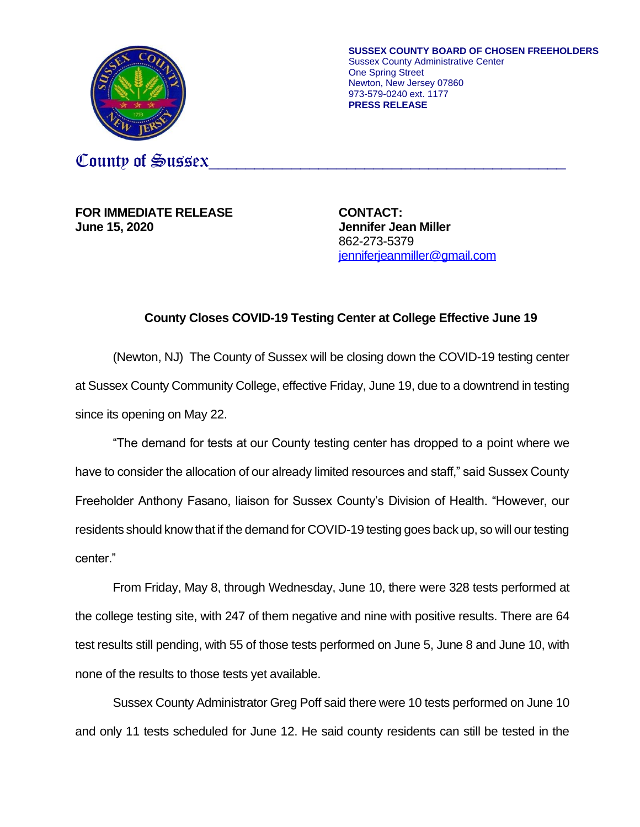

**SUSSEX COUNTY BOARD OF CHOSEN FREEHOLDERS** Sussex County Administrative Center One Spring Street Newton, New Jersey 07860 973-579-0240 ext. 1177 **PRESS RELEASE**

County of Sussex

**FOR IMMEDIATE RELEASE CONTACT: June 15, 2020 Jennifer Jean Miller**

862-273-5379 [jenniferjeanmiller@gmail.com](mailto:jenniferjeanmiller@gmail.com)

## **County Closes COVID-19 Testing Center at College Effective June 19**

(Newton, NJ) The County of Sussex will be closing down the COVID-19 testing center at Sussex County Community College, effective Friday, June 19, due to a downtrend in testing since its opening on May 22.

"The demand for tests at our County testing center has dropped to a point where we have to consider the allocation of our already limited resources and staff," said Sussex County Freeholder Anthony Fasano, liaison for Sussex County's Division of Health. "However, our residents should know that if the demand for COVID-19 testing goes back up, so will our testing center."

From Friday, May 8, through Wednesday, June 10, there were 328 tests performed at the college testing site, with 247 of them negative and nine with positive results. There are 64 test results still pending, with 55 of those tests performed on June 5, June 8 and June 10, with none of the results to those tests yet available.

Sussex County Administrator Greg Poff said there were 10 tests performed on June 10 and only 11 tests scheduled for June 12. He said county residents can still be tested in the